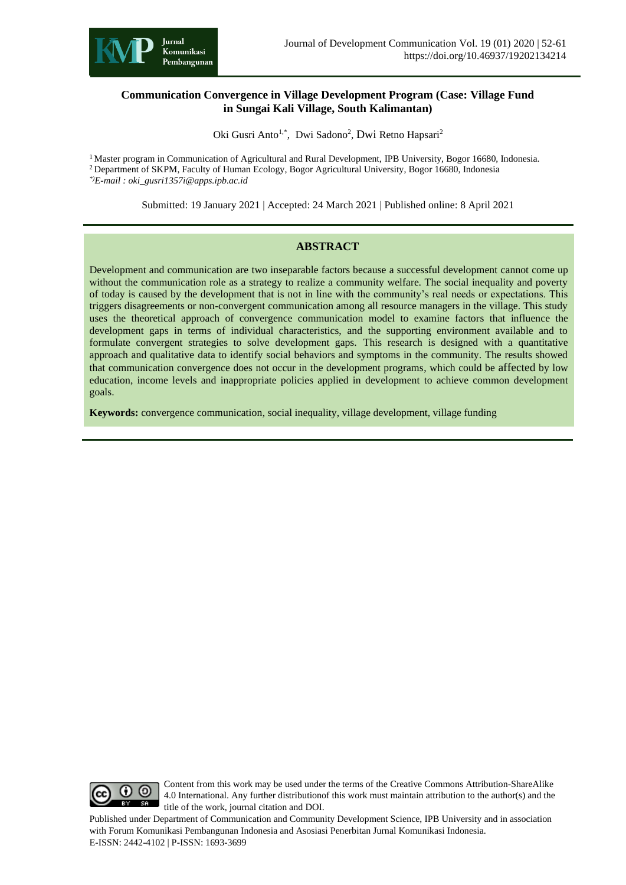

### **Communication Convergence in Village Development Program (Case: Village Fund in Sungai Kali Village, South Kalimantan)**

Oki Gusri Anto<sup>1,\*</sup>, Dwi Sadono<sup>2</sup>, Dwi Retno Hapsari<sup>2</sup>

<sup>1</sup> Master program in Communication of Agricultural and Rural Development, IPB University, Bogor 16680, Indonesia.

<sup>2</sup> Department of SKPM, Faculty of Human Ecology, Bogor Agricultural University, Bogor 16680, Indonesia *\*)E-mail : oki\_gusri1357i@apps.ipb.ac.id*

Submitted: 19 January 2021 | Accepted: 24 March 2021 | Published online: 8 April 2021

### **ABSTRACT**

Development and communication are two inseparable factors because a successful development cannot come up without the communication role as a strategy to realize a community welfare. The social inequality and poverty of today is caused by the development that is not in line with the community's real needs or expectations. This triggers disagreements or non-convergent communication among all resource managers in the village. This study uses the theoretical approach of convergence communication model to examine factors that influence the development gaps in terms of individual characteristics, and the supporting environment available and to formulate convergent strategies to solve development gaps. This research is designed with a quantitative approach and qualitative data to identify social behaviors and symptoms in the community. The results showed that communication convergence does not occur in the development programs, which could be affected by low education, income levels and inappropriate policies applied in development to achieve common development goals.

**Keywords:** convergence communication, social inequality, village development, village funding



Content from this work may be used under the terms of the Creative Commons Attribution-ShareAlike 4.0 International. Any further distributionof this work must maintain attribution to the author(s) and the title of the work, journal citation and DOI.

Published under Department of Communication and Community Development Science, IPB University and in association with Forum Komunikasi Pembangunan Indonesia and Asosiasi Penerbitan Jurnal Komunikasi Indonesia. E-ISSN: 2442-4102 | P-ISSN: 1693-3699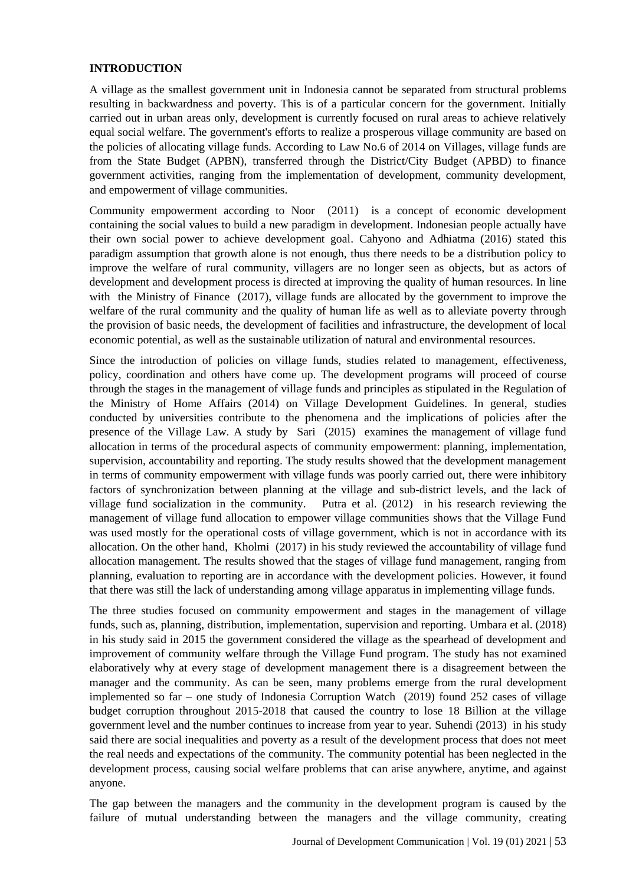### **INTRODUCTION**

A village as the smallest government unit in Indonesia cannot be separated from structural problems resulting in backwardness and poverty. This is of a particular concern for the government. Initially carried out in urban areas only, development is currently focused on rural areas to achieve relatively equal social welfare. The government's efforts to realize a prosperous village community are based on the policies of allocating village funds. According to Law No.6 of 2014 on Villages, village funds are from the State Budget (APBN), transferred through the District/City Budget (APBD) to finance government activities, ranging from the implementation of development, community development, and empowerment of village communities.

Community empowerment according to Noor (2011) is a concept of economic development containing the social values to build a new paradigm in development. Indonesian people actually have their own social power to achieve development goal. Cahyono and Adhiatma (2016) stated this paradigm assumption that growth alone is not enough, thus there needs to be a distribution policy to improve the welfare of rural community, villagers are no longer seen as objects, but as actors of development and development process is directed at improving the quality of human resources. In line with the Ministry of Finance (2017), village funds are allocated by the government to improve the welfare of the rural community and the quality of human life as well as to alleviate poverty through the provision of basic needs, the development of facilities and infrastructure, the development of local economic potential, as well as the sustainable utilization of natural and environmental resources.

Since the introduction of policies on village funds, studies related to management, effectiveness, policy, coordination and others have come up. The development programs will proceed of course through the stages in the management of village funds and principles as stipulated in the Regulation of the Ministry of Home Affairs (2014) on Village Development Guidelines. In general, studies conducted by universities contribute to the phenomena and the implications of policies after the presence of the Village Law. A study by Sari (2015) examines the management of village fund allocation in terms of the procedural aspects of community empowerment: planning, implementation, supervision, accountability and reporting. The study results showed that the development management in terms of community empowerment with village funds was poorly carried out, there were inhibitory factors of synchronization between planning at the village and sub-district levels, and the lack of village fund socialization in the community. Putra et al. (2012) in his research reviewing the management of village fund allocation to empower village communities shows that the Village Fund was used mostly for the operational costs of village government, which is not in accordance with its allocation. On the other hand, Kholmi (2017) in his study reviewed the accountability of village fund allocation management. The results showed that the stages of village fund management, ranging from planning, evaluation to reporting are in accordance with the development policies. However, it found that there was still the lack of understanding among village apparatus in implementing village funds.

The three studies focused on community empowerment and stages in the management of village funds, such as, planning, distribution, implementation, supervision and reporting. Umbara et al. (2018) in his study said in 2015 the government considered the village as the spearhead of development and improvement of community welfare through the Village Fund program. The study has not examined elaboratively why at every stage of development management there is a disagreement between the manager and the community. As can be seen, many problems emerge from the rural development implemented so far – one study of Indonesia Corruption Watch (2019) found 252 cases of village budget corruption throughout 2015-2018 that caused the country to lose 18 Billion at the village government level and the number continues to increase from year to year. Suhendi (2013) in his study said there are social inequalities and poverty as a result of the development process that does not meet the real needs and expectations of the community. The community potential has been neglected in the development process, causing social welfare problems that can arise anywhere, anytime, and against anyone.

The gap between the managers and the community in the development program is caused by the failure of mutual understanding between the managers and the village community, creating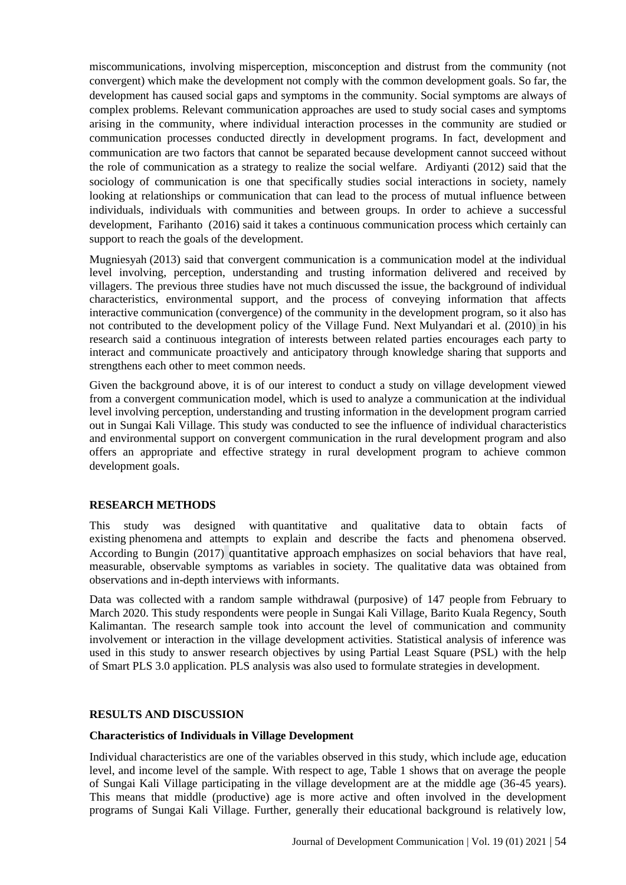miscommunications, involving misperception, misconception and distrust from the community (not convergent) which make the development not comply with the common development goals. So far, the development has caused social gaps and symptoms in the community. Social symptoms are always of complex problems. Relevant communication approaches are used to study social cases and symptoms arising in the community, where individual interaction processes in the community are studied or communication processes conducted directly in development programs. In fact, development and communication are two factors that cannot be separated because development cannot succeed without the role of communication as a strategy to realize the social welfare. Ardiyanti (2012) said that the sociology of communication is one that specifically studies social interactions in society, namely looking at relationships or communication that can lead to the process of mutual influence between individuals, individuals with communities and between groups. In order to achieve a successful development, Farihanto (2016) said it takes a continuous communication process which certainly can support to reach the goals of the development.

Mugniesyah (2013) said that convergent communication is a communication model at the individual level involving, perception, understanding and trusting information delivered and received by villagers. The previous three studies have not much discussed the issue, the background of individual characteristics, environmental support, and the process of conveying information that affects interactive communication (convergence) of the community in the development program, so it also has not contributed to the development policy of the Village Fund. Next Mulyandari et al. (2010) in his research said a continuous integration of interests between related parties encourages each party to interact and communicate proactively and anticipatory through knowledge sharing that supports and strengthens each other to meet common needs.

Given the background above, it is of our interest to conduct a study on village development viewed from a convergent communication model, which is used to analyze a communication at the individual level involving perception, understanding and trusting information in the development program carried out in Sungai Kali Village. This study was conducted to see the influence of individual characteristics and environmental support on convergent communication in the rural development program and also offers an appropriate and effective strategy in rural development program to achieve common development goals.

### **RESEARCH METHODS**

This study was designed with quantitative and qualitative data to obtain facts of existing phenomena and attempts to explain and describe the facts and phenomena observed. According to Bungin (2017) quantitative approach emphasizes on social behaviors that have real, measurable, observable symptoms as variables in society. The qualitative data was obtained from observations and in-depth interviews with informants.

Data was collected with a random sample withdrawal (purposive) of 147 people from February to March 2020. This study respondents were people in Sungai Kali Village, Barito Kuala Regency, South Kalimantan. The research sample took into account the level of communication and community involvement or interaction in the village development activities. Statistical analysis of inference was used in this study to answer research objectives by using Partial Least Square (PSL) with the help of Smart PLS 3.0 application. PLS analysis was also used to formulate strategies in development.

### **RESULTS AND DISCUSSION**

### **Characteristics of Individuals in Village Development**

Individual characteristics are one of the variables observed in this study, which include age, education level, and income level of the sample. With respect to age, Table 1 shows that on average the people of Sungai Kali Village participating in the village development are at the middle age (36-45 years). This means that middle (productive) age is more active and often involved in the development programs of Sungai Kali Village. Further, generally their educational background is relatively low,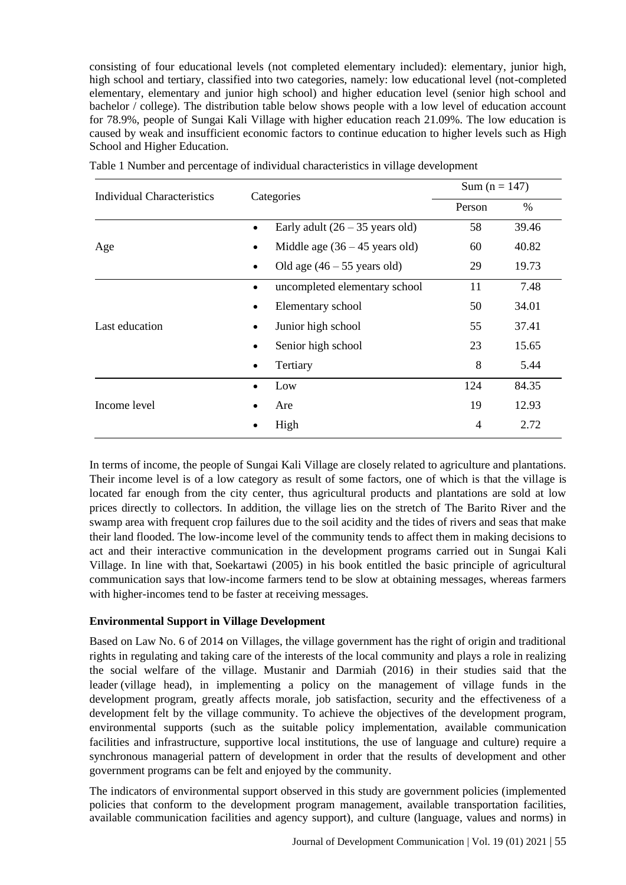consisting of four educational levels (not completed elementary included): elementary, junior high, high school and tertiary, classified into two categories, namely: low educational level (not-completed elementary, elementary and junior high school) and higher education level (senior high school and bachelor / college). The distribution table below shows people with a low level of education account for 78.9%, people of Sungai Kali Village with higher education reach 21.09%. The low education is caused by weak and insufficient economic factors to continue education to higher levels such as High School and Higher Education.

| <b>Individual Characteristics</b> | Categories                                 | Sum ( $n = 147$ ) |       |
|-----------------------------------|--------------------------------------------|-------------------|-------|
|                                   |                                            | Person            | $\%$  |
| Age                               | Early adult $(26 – 35$ years old)          | 58                | 39.46 |
|                                   | Middle age $(36 - 45$ years old)           | 60                | 40.82 |
|                                   | Old age $(46 - 55$ years old)<br>$\bullet$ | 29                | 19.73 |
| Last education                    | uncompleted elementary school<br>$\bullet$ | 11                | 7.48  |
|                                   | Elementary school<br>$\bullet$             | 50                | 34.01 |
|                                   | Junior high school<br>$\bullet$            | 55                | 37.41 |
|                                   | Senior high school                         | 23                | 15.65 |
|                                   | Tertiary<br>$\bullet$                      | 8                 | 5.44  |
| Income level                      | Low                                        | 124               | 84.35 |
|                                   | Are                                        | 19                | 12.93 |
|                                   | High                                       | $\overline{4}$    | 2.72  |

Table 1 Number and percentage of individual characteristics in village development

In terms of income, the people of Sungai Kali Village are closely related to agriculture and plantations. Their income level is of a low category as result of some factors, one of which is that the village is located far enough from the city center, thus agricultural products and plantations are sold at low prices directly to collectors. In addition, the village lies on the stretch of The Barito River and the swamp area with frequent crop failures due to the soil acidity and the tides of rivers and seas that make their land flooded. The low-income level of the community tends to affect them in making decisions to act and their interactive communication in the development programs carried out in Sungai Kali Village. In line with that, Soekartawi (2005) in his book entitled the basic principle of agricultural communication says that low-income farmers tend to be slow at obtaining messages, whereas farmers with higher-incomes tend to be faster at receiving messages.

## **Environmental Support in Village Development**

Based on Law No. 6 of 2014 on Villages, the village government has the right of origin and traditional rights in regulating and taking care of the interests of the local community and plays a role in realizing the social welfare of the village. Mustanir and Darmiah (2016) in their studies said that the leader (village head), in implementing a policy on the management of village funds in the development program, greatly affects morale, job satisfaction, security and the effectiveness of a development felt by the village community. To achieve the objectives of the development program, environmental supports (such as the suitable policy implementation, available communication facilities and infrastructure, supportive local institutions, the use of language and culture) require a synchronous managerial pattern of development in order that the results of development and other government programs can be felt and enjoyed by the community.

The indicators of environmental support observed in this study are government policies (implemented policies that conform to the development program management, available transportation facilities, available communication facilities and agency support), and culture (language, values and norms) in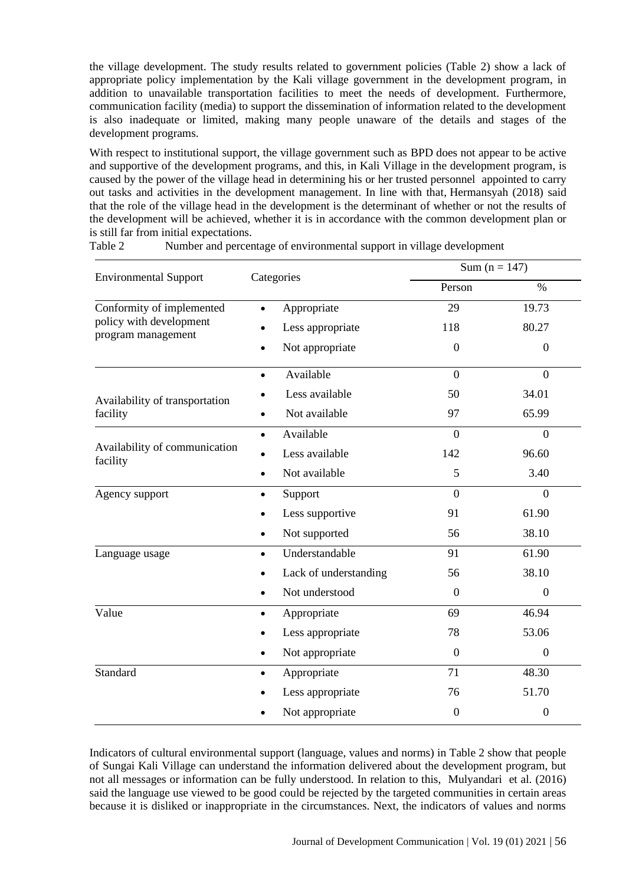the village development. The study results related to government policies (Table 2) show a lack of appropriate policy implementation by the Kali village government in the development program, in addition to unavailable transportation facilities to meet the needs of development. Furthermore, communication facility (media) to support the dissemination of information related to the development is also inadequate or limited, making many people unaware of the details and stages of the development programs.

With respect to institutional support, the village government such as BPD does not appear to be active and supportive of the development programs, and this, in Kali Village in the development program, is caused by the power of the village head in determining his or her trusted personnel appointed to carry out tasks and activities in the development management. In line with that, Hermansyah (2018) said that the role of the village head in the development is the determinant of whether or not the results of the development will be achieved, whether it is in accordance with the common development plan or is still far from initial expectations.

|                                                                            |                             |                | Sum ( $n = 147$ ) |  |
|----------------------------------------------------------------------------|-----------------------------|----------------|-------------------|--|
| <b>Environmental Support</b>                                               | Categories                  | Person         | $\%$              |  |
| Conformity of implemented<br>policy with development<br>program management | Appropriate                 | 29             | 19.73             |  |
|                                                                            | Less appropriate            | 118            | 80.27             |  |
|                                                                            | Not appropriate             | $\theta$       | $\mathbf{0}$      |  |
|                                                                            | Available<br>$\bullet$      | $\Omega$       | $\theta$          |  |
| Availability of transportation<br>facility                                 | Less available              | 50             | 34.01             |  |
|                                                                            | Not available               | 97             | 65.99             |  |
|                                                                            | Available<br>$\bullet$      | $\Omega$       | $\overline{0}$    |  |
| Availability of communication<br>facility                                  | Less available              | 142            | 96.60             |  |
|                                                                            | Not available               | 5              | 3.40              |  |
| Agency support                                                             | Support<br>$\bullet$        | $\theta$       | $\Omega$          |  |
|                                                                            | Less supportive             | 91             | 61.90             |  |
|                                                                            | Not supported               | 56             | 38.10             |  |
| Language usage                                                             | Understandable<br>$\bullet$ | 91             | 61.90             |  |
|                                                                            | Lack of understanding       | 56             | 38.10             |  |
|                                                                            | Not understood              | $\theta$       | $\overline{0}$    |  |
| Value                                                                      | Appropriate                 | 69             | 46.94             |  |
|                                                                            | Less appropriate            | 78             | 53.06             |  |
|                                                                            | Not appropriate             | $\overline{0}$ | $\mathbf{0}$      |  |
| Standard                                                                   | Appropriate<br>$\bullet$    | 71             | 48.30             |  |
|                                                                            | Less appropriate            | 76             | 51.70             |  |
|                                                                            | Not appropriate             | $\theta$       | $\boldsymbol{0}$  |  |

Table 2 Number and percentage of environmental support in village development

Indicators of cultural environmental support (language, values and norms) in Table 2 show that people of Sungai Kali Village can understand the information delivered about the development program, but not all messages or information can be fully understood. In relation to this, Mulyandari et al*.* (2016) said the language use viewed to be good could be rejected by the targeted communities in certain areas because it is disliked or inappropriate in the circumstances. Next, the indicators of values and norms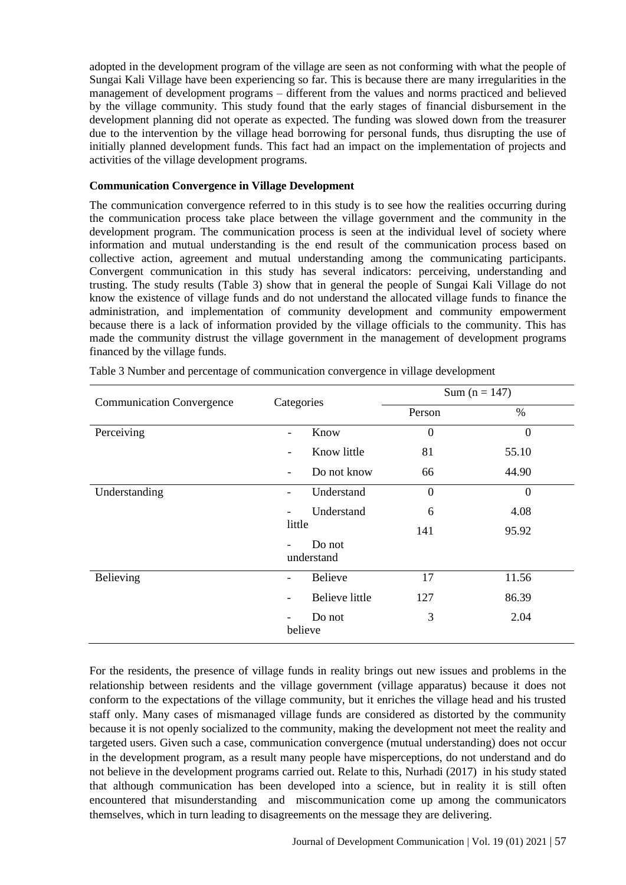adopted in the development program of the village are seen as not conforming with what the people of Sungai Kali Village have been experiencing so far. This is because there are many irregularities in the management of development programs – different from the values and norms practiced and believed by the village community. This study found that the early stages of financial disbursement in the development planning did not operate as expected. The funding was slowed down from the treasurer due to the intervention by the village head borrowing for personal funds, thus disrupting the use of initially planned development funds. This fact had an impact on the implementation of projects and activities of the village development programs.

### **Communication Convergence in Village Development**

The communication convergence referred to in this study is to see how the realities occurring during the communication process take place between the village government and the community in the development program. The communication process is seen at the individual level of society where information and mutual understanding is the end result of the communication process based on collective action, agreement and mutual understanding among the communicating participants. Convergent communication in this study has several indicators: perceiving, understanding and trusting. The study results (Table 3) show that in general the people of Sungai Kali Village do not know the existence of village funds and do not understand the allocated village funds to finance the administration, and implementation of community development and community empowerment because there is a lack of information provided by the village officials to the community. This has made the community distrust the village government in the management of development programs financed by the village funds.

| <b>Communication Convergence</b> | Categories                       | Sum ( $n = 147$ ) |                |  |
|----------------------------------|----------------------------------|-------------------|----------------|--|
|                                  |                                  | Person            | $\%$           |  |
| Perceiving                       | Know<br>$\overline{\phantom{0}}$ | $\overline{0}$    | $\overline{0}$ |  |
|                                  | Know little                      | 81                | 55.10          |  |
|                                  | Do not know                      | 66                | 44.90          |  |
| Understanding                    | Understand                       | $\theta$          | $\mathbf{0}$   |  |
|                                  | Understand                       | 6                 | 4.08           |  |
|                                  | little                           | 141               | 95.92          |  |
|                                  | Do not<br>understand             |                   |                |  |
| Believing                        | <b>Believe</b>                   | 17                | 11.56          |  |
|                                  | <b>Believe little</b>            | 127               | 86.39          |  |
|                                  | Do not<br>believe                | 3                 | 2.04           |  |

Table 3 Number and percentage of communication convergence in village development

For the residents, the presence of village funds in reality brings out new issues and problems in the relationship between residents and the village government (village apparatus) because it does not conform to the expectations of the village community, but it enriches the village head and his trusted staff only. Many cases of mismanaged village funds are considered as distorted by the community because it is not openly socialized to the community, making the development not meet the reality and targeted users. Given such a case, communication convergence (mutual understanding) does not occur in the development program, as a result many people have misperceptions, do not understand and do not believe in the development programs carried out. Relate to this, Nurhadi (2017) in his study stated that although communication has been developed into a science, but in reality it is still often encountered that misunderstanding and miscommunication come up among the communicators themselves, which in turn leading to disagreements on the message they are delivering.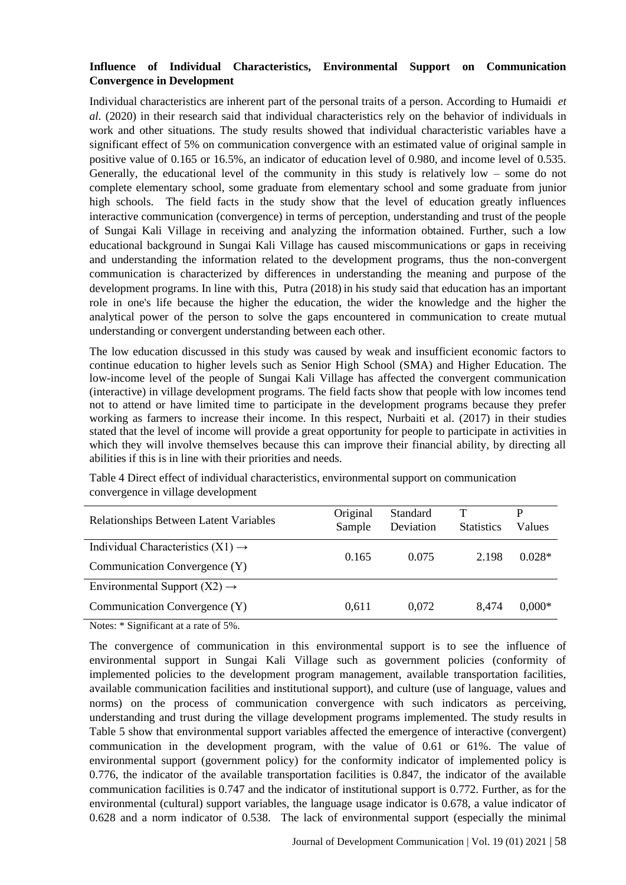# **Influence of Individual Characteristics, Environmental Support on Communication Convergence in Development**

Individual characteristics are inherent part of the personal traits of a person. According to Humaidi *et al.* (2020) in their research said that individual characteristics rely on the behavior of individuals in work and other situations. The study results showed that individual characteristic variables have a significant effect of 5% on communication convergence with an estimated value of original sample in positive value of 0.165 or 16.5%, an indicator of education level of 0.980, and income level of 0.535. Generally, the educational level of the community in this study is relatively low – some do not complete elementary school, some graduate from elementary school and some graduate from junior high schools. The field facts in the study show that the level of education greatly influences interactive communication (convergence) in terms of perception, understanding and trust of the people of Sungai Kali Village in receiving and analyzing the information obtained. Further, such a low educational background in Sungai Kali Village has caused miscommunications or gaps in receiving and understanding the information related to the development programs, thus the non-convergent communication is characterized by differences in understanding the meaning and purpose of the development programs. In line with this, Putra (2018) in his study said that education has an important role in one's life because the higher the education, the wider the knowledge and the higher the analytical power of the person to solve the gaps encountered in communication to create mutual understanding or convergent understanding between each other.

The low education discussed in this study was caused by weak and insufficient economic factors to continue education to higher levels such as Senior High School (SMA) and Higher Education. The low-income level of the people of Sungai Kali Village has affected the convergent communication (interactive) in village development programs. The field facts show that people with low incomes tend not to attend or have limited time to participate in the development programs because they prefer working as farmers to increase their income. In this respect, Nurbaiti et al. (2017) in their studies stated that the level of income will provide a great opportunity for people to participate in activities in which they will involve themselves because this can improve their financial ability, by directing all abilities if this is in line with their priorities and needs.

| Relationships Between Latent Variables        | Original<br>Sample | Standard<br>Deviation | т<br><b>Statistics</b> | P<br>Values |
|-----------------------------------------------|--------------------|-----------------------|------------------------|-------------|
| Individual Characteristics $(X1) \rightarrow$ | 0.165              | 0.075                 | 2.198                  | $0.028*$    |
| Communication Convergence (Y)                 |                    |                       |                        |             |
| Environmental Support $(X2) \rightarrow$      |                    |                       |                        |             |
| Communication Convergence (Y)                 | 0.611              | 0.072                 | 8.474                  | $0.000*$    |

Table 4 Direct effect of individual characteristics, environmental support on communication convergence in village development

Notes: \* Significant at a rate of 5%.

The convergence of communication in this environmental support is to see the influence of environmental support in Sungai Kali Village such as government policies (conformity of implemented policies to the development program management, available transportation facilities, available communication facilities and institutional support), and culture (use of language, values and norms) on the process of communication convergence with such indicators as perceiving, understanding and trust during the village development programs implemented. The study results in Table 5 show that environmental support variables affected the emergence of interactive (convergent) communication in the development program, with the value of 0.61 or 61%. The value of environmental support (government policy) for the conformity indicator of implemented policy is 0.776, the indicator of the available transportation facilities is 0.847, the indicator of the available communication facilities is 0.747 and the indicator of institutional support is 0.772. Further, as for the environmental (cultural) support variables, the language usage indicator is 0.678, a value indicator of 0.628 and a norm indicator of 0.538. The lack of environmental support (especially the minimal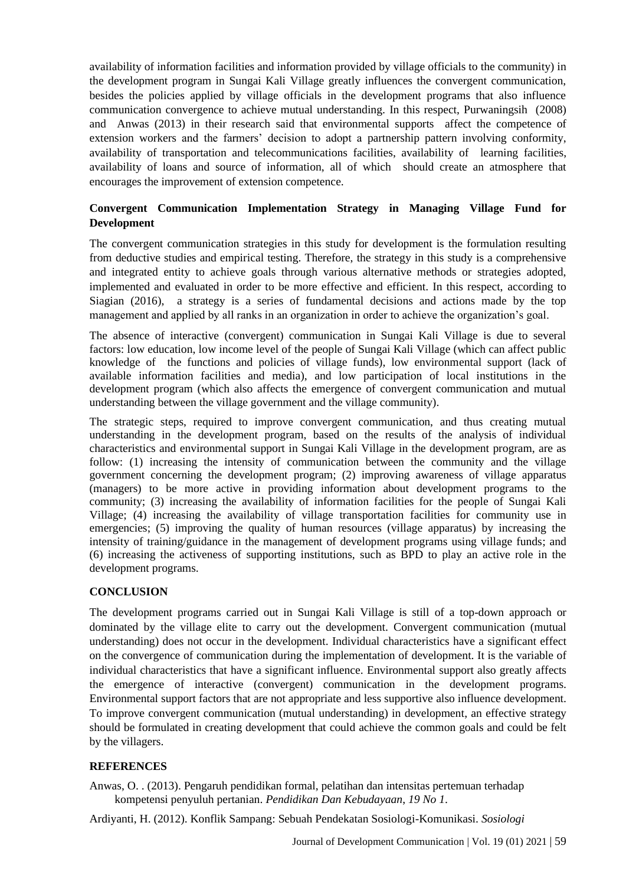availability of information facilities and information provided by village officials to the community) in the development program in Sungai Kali Village greatly influences the convergent communication, besides the policies applied by village officials in the development programs that also influence communication convergence to achieve mutual understanding. In this respect, Purwaningsih (2008) and Anwas (2013) in their research said that environmental supports affect the competence of extension workers and the farmers' decision to adopt a partnership pattern involving conformity, availability of transportation and telecommunications facilities, availability of learning facilities, availability of loans and source of information, all of which should create an atmosphere that encourages the improvement of extension competence.

# **Convergent Communication Implementation Strategy in Managing Village Fund for Development**

The convergent communication strategies in this study for development is the formulation resulting from deductive studies and empirical testing. Therefore, the strategy in this study is a comprehensive and integrated entity to achieve goals through various alternative methods or strategies adopted, implemented and evaluated in order to be more effective and efficient. In this respect, according to Siagian (2016), a strategy is a series of fundamental decisions and actions made by the top management and applied by all ranks in an organization in order to achieve the organization's goal.

The absence of interactive (convergent) communication in Sungai Kali Village is due to several factors: low education, low income level of the people of Sungai Kali Village (which can affect public knowledge of the functions and policies of village funds), low environmental support (lack of available information facilities and media), and low participation of local institutions in the development program (which also affects the emergence of convergent communication and mutual understanding between the village government and the village community).

The strategic steps, required to improve convergent communication, and thus creating mutual understanding in the development program, based on the results of the analysis of individual characteristics and environmental support in Sungai Kali Village in the development program, are as follow: (1) increasing the intensity of communication between the community and the village government concerning the development program; (2) improving awareness of village apparatus (managers) to be more active in providing information about development programs to the community; (3) increasing the availability of information facilities for the people of Sungai Kali Village; (4) increasing the availability of village transportation facilities for community use in emergencies; (5) improving the quality of human resources (village apparatus) by increasing the intensity of training/guidance in the management of development programs using village funds; and (6) increasing the activeness of supporting institutions, such as BPD to play an active role in the development programs.

## **CONCLUSION**

The development programs carried out in Sungai Kali Village is still of a top-down approach or dominated by the village elite to carry out the development. Convergent communication (mutual understanding) does not occur in the development. Individual characteristics have a significant effect on the convergence of communication during the implementation of development. It is the variable of individual characteristics that have a significant influence. Environmental support also greatly affects the emergence of interactive (convergent) communication in the development programs. Environmental support factors that are not appropriate and less supportive also influence development. To improve convergent communication (mutual understanding) in development, an effective strategy should be formulated in creating development that could achieve the common goals and could be felt by the villagers.

### **REFERENCES**

Anwas, O. . (2013). Pengaruh pendidikan formal, pelatihan dan intensitas pertemuan terhadap kompetensi penyuluh pertanian. *Pendidikan Dan Kebudayaan*, *19 No 1*.

Ardiyanti, H. (2012). Konflik Sampang: Sebuah Pendekatan Sosiologi-Komunikasi. *Sosiologi*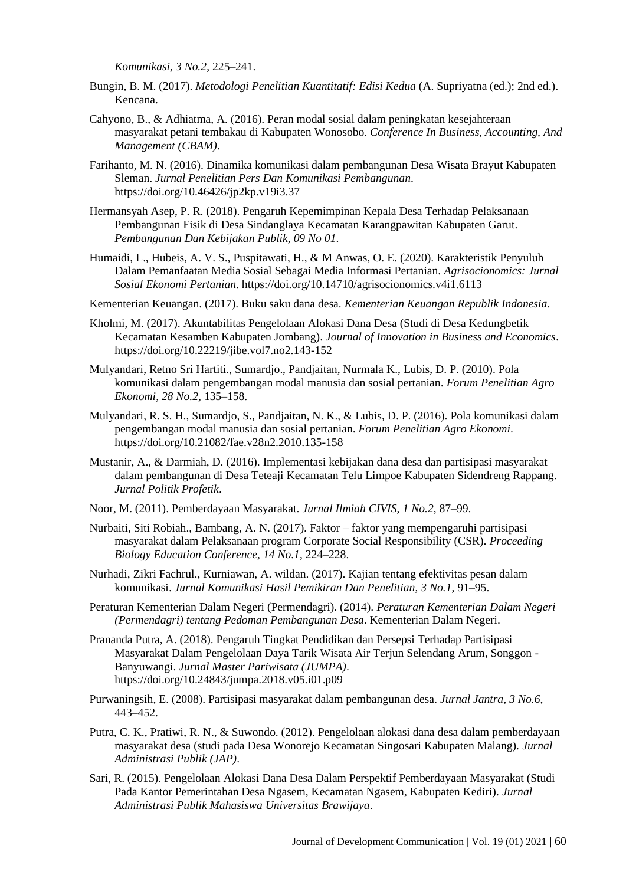*Komunikasi*, *3 No.2*, 225–241.

- Bungin, B. M. (2017). *Metodologi Penelitian Kuantitatif: Edisi Kedua* (A. Supriyatna (ed.); 2nd ed.). Kencana.
- Cahyono, B., & Adhiatma, A. (2016). Peran modal sosial dalam peningkatan kesejahteraan masyarakat petani tembakau di Kabupaten Wonosobo. *Conference In Business, Accounting, And Management (CBAM)*.
- Farihanto, M. N. (2016). Dinamika komunikasi dalam pembangunan Desa Wisata Brayut Kabupaten Sleman. *Jurnal Penelitian Pers Dan Komunikasi Pembangunan*. https://doi.org/10.46426/jp2kp.v19i3.37
- Hermansyah Asep, P. R. (2018). Pengaruh Kepemimpinan Kepala Desa Terhadap Pelaksanaan Pembangunan Fisik di Desa Sindanglaya Kecamatan Karangpawitan Kabupaten Garut. *Pembangunan Dan Kebijakan Publik*, *09 No 01*.
- Humaidi, L., Hubeis, A. V. S., Puspitawati, H., & M Anwas, O. E. (2020). Karakteristik Penyuluh Dalam Pemanfaatan Media Sosial Sebagai Media Informasi Pertanian. *Agrisocionomics: Jurnal Sosial Ekonomi Pertanian*. https://doi.org/10.14710/agrisocionomics.v4i1.6113
- Kementerian Keuangan. (2017). Buku saku dana desa. *Kementerian Keuangan Republik Indonesia*.
- Kholmi, M. (2017). Akuntabilitas Pengelolaan Alokasi Dana Desa (Studi di Desa Kedungbetik Kecamatan Kesamben Kabupaten Jombang). *Journal of Innovation in Business and Economics*. https://doi.org/10.22219/jibe.vol7.no2.143-152
- Mulyandari, Retno Sri Hartiti., Sumardjo., Pandjaitan, Nurmala K., Lubis, D. P. (2010). Pola komunikasi dalam pengembangan modal manusia dan sosial pertanian. *Forum Penelitian Agro Ekonomi*, *28 No.2*, 135–158.
- Mulyandari, R. S. H., Sumardjo, S., Pandjaitan, N. K., & Lubis, D. P. (2016). Pola komunikasi dalam pengembangan modal manusia dan sosial pertanian. *Forum Penelitian Agro Ekonomi*. https://doi.org/10.21082/fae.v28n2.2010.135-158
- Mustanir, A., & Darmiah, D. (2016). Implementasi kebijakan dana desa dan partisipasi masyarakat dalam pembangunan di Desa Teteaji Kecamatan Telu Limpoe Kabupaten Sidendreng Rappang. *Jurnal Politik Profetik*.
- Noor, M. (2011). Pemberdayaan Masyarakat. *Jurnal Ilmiah CIVIS*, *1 No.2*, 87–99.
- Nurbaiti, Siti Robiah., Bambang, A. N. (2017). Faktor faktor yang mempengaruhi partisipasi masyarakat dalam Pelaksanaan program Corporate Social Responsibility (CSR). *Proceeding Biology Education Conference*, *14 No.1*, 224–228.
- Nurhadi, Zikri Fachrul., Kurniawan, A. wildan. (2017). Kajian tentang efektivitas pesan dalam komunikasi. *Jurnal Komunikasi Hasil Pemikiran Dan Penelitian*, *3 No.1*, 91–95.
- Peraturan Kementerian Dalam Negeri (Permendagri). (2014). *Peraturan Kementerian Dalam Negeri (Permendagri) tentang Pedoman Pembangunan Desa*. Kementerian Dalam Negeri.
- Prananda Putra, A. (2018). Pengaruh Tingkat Pendidikan dan Persepsi Terhadap Partisipasi Masyarakat Dalam Pengelolaan Daya Tarik Wisata Air Terjun Selendang Arum, Songgon - Banyuwangi. *Jurnal Master Pariwisata (JUMPA)*. https://doi.org/10.24843/jumpa.2018.v05.i01.p09
- Purwaningsih, E. (2008). Partisipasi masyarakat dalam pembangunan desa. *Jurnal Jantra*, *3 No.6*, 443–452.
- Putra, C. K., Pratiwi, R. N., & Suwondo. (2012). Pengelolaan alokasi dana desa dalam pemberdayaan masyarakat desa (studi pada Desa Wonorejo Kecamatan Singosari Kabupaten Malang). *Jurnal Administrasi Publik (JAP)*.
- Sari, R. (2015). Pengelolaan Alokasi Dana Desa Dalam Perspektif Pemberdayaan Masyarakat (Studi Pada Kantor Pemerintahan Desa Ngasem, Kecamatan Ngasem, Kabupaten Kediri). *Jurnal Administrasi Publik Mahasiswa Universitas Brawijaya*.